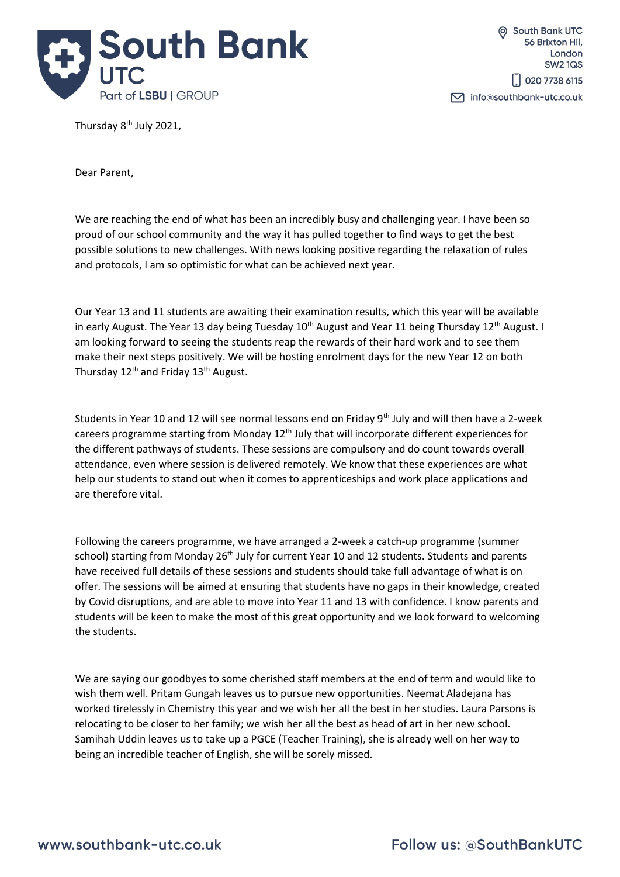

Thursday 8<sup>th</sup> July 2021,

Dear Parent,

We are reaching the end of what has been an incredibly busy and challenging year. I have been so proud of our school community and the way it has pulled together to find ways to get the best possible solutions to new challenges. With news looking positive regarding the relaxation of rules and protocols, I am so optimistic for what can be achieved next year.

Our Year 13 and 11 students are awaiting their examination results, which this year will be available in early August. The Year 13 day being Tuesday 10<sup>th</sup> August and Year 11 being Thursday 12<sup>th</sup> August. I am looking forward to seeing the students reap the rewards of their hard work and to see them make their next steps positively. We will be hosting enrolment days for the new Year 12 on both Thursday 12<sup>th</sup> and Friday 13<sup>th</sup> August.

Students in Year 10 and 12 will see normal lessons end on Friday 9<sup>th</sup> July and will then have a 2-week careers programme starting from Monday  $12<sup>th</sup>$  July that will incorporate different experiences for the different pathways of students. These sessions are compulsory and do count towards overall attendance, even where session is delivered remotely. We know that these experiences are what help our students to stand out when it comes to apprenticeships and work place applications and are therefore vital.

Following the careers programme, we have arranged a 2-week a catch-up programme (summer school) starting from Monday 26<sup>th</sup> July for current Year 10 and 12 students. Students and parents have received full details of these sessions and students should take full advantage of what is on offer. The sessions will be aimed at ensuring that students have no gaps in their knowledge, created by Covid disruptions, and are able to move into Year 11 and 13 with confidence. I know parents and students will be keen to make the most of this great opportunity and we look forward to welcoming the students.

We are saying our goodbyes to some cherished staff members at the end of term and would like to wish them well. Pritam Gungah leaves us to pursue new opportunities. Neemat Aladejana has worked tirelessly in Chemistry this year and we wish her all the best in her studies. Laura Parsons is relocating to be closer to her family; we wish her all the best as head of art in her new school. Samihah Uddin leaves us to take up a PGCE (Teacher Training), she is already well on her way to being an incredible teacher of English, she will be sorely missed.